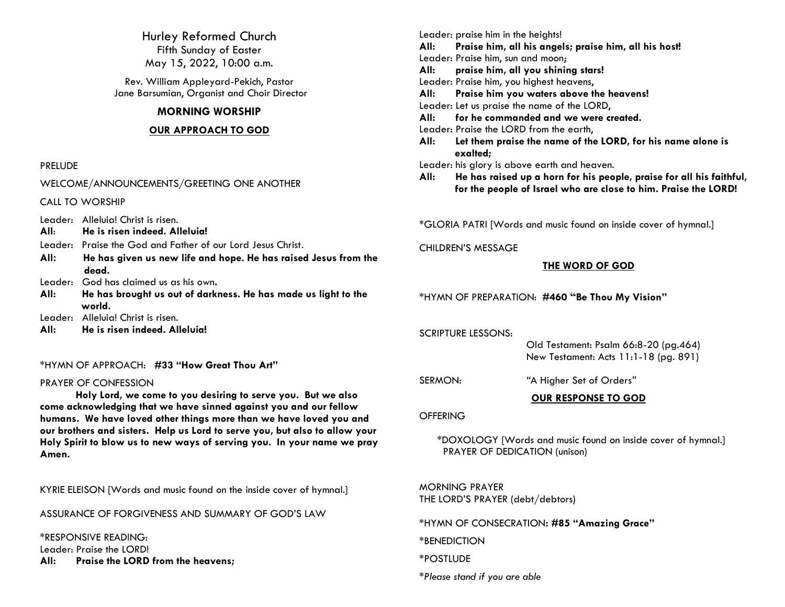Hurley Reformed Church Fifth Sunday of Easter May 15, 2022, 10:00 a.m.

Rev. William Appleyard-Pekich, Pastor Jane Barsumian, Organist and Choir Director

## **MORNING WORSHIP**

## **OUR APPROACH TO GOD**

### PRELUDE

WELCOME/ANNOUNCEMENTS/GREETING ONE ANOTHER

CALL TO WORSHIP

Leader: Alleluia! Christ is risen.

**All**: **He is risen indeed. Alleluia!**

Leader:Praise the God and Father of our Lord Jesus Christ.

- **All: He has given us new life and hope. He has raised Jesus from the dead.**
- Leader: God has claimed us as his own**.**
- **All: He has brought us out of darkness. He has made us light to the world.**
- Leader: Alleluia! Christ is risen.
- **All: He is risen indeed. Alleluia!**

\*HYMN OF APPROACH: **#33 "How Great Thou Art"**

### PRAYER OF CONFESSION

**Holy Lord, we come to you desiring to serve you. But we also come acknowledging that we have sinned against you and our fellow humans. We have loved other things more than we have loved you and our brothers and sisters. Help us Lord to serve you, but also to allow your Holy Spirit to blow us to new ways of serving you. In your name we pray Amen.**

KYRIE ELEISON [Words and music found on the inside cover of hymnal.]

ASSURANCE OF FORGIVENESS AND SUMMARY OF GOD'S LAW

\*RESPONSIVE READING: Leader: Praise the LORD! **All: Praise the LORD from the heavens;** 

Leader: praise him in the heights! **All: Praise him, all his angels; praise him, all his host!** Leader: Praise him, sun and moon; **All: praise him, all you shining stars!** Leader: Praise him, you highest heavens, **All: Praise him you waters above the heavens!** Leader: Let us praise the name of the LORD, **All: for he commanded and we were created.** Leader: Praise the LORD from the earth, **All: Let them praise the name of the LORD, for his name alone is exalted;**

Leader: his glory is above earth and heaven.

**All: He has raised up a horn for his people, praise for all his faithful, for the people of Israel who are close to him. Praise the LORD!**

\*GLORIA PATRI [Words and music found on inside cover of hymnal.]

### CHILDREN'S MESSAGE

## **THE WORD OF GOD**

\*HYMN OF PREPARATION: **#460 "Be Thou My Vision"**

### SCRIPTURE LESSONS:

 Old Testament: Psalm 66:8-20 (pg.464) New Testament: Acts 11:1-18 (pg. 891)

SERMON: *"*A Higher Set of Orders*"*

## **OUR RESPONSE TO GOD**

## **OFFERING**

\*DOXOLOGY [Words and music found on inside cover of hymnal.] PRAYER OF DEDICATION (unison)

MORNING PRAYER THE LORD'S PRAYER (debt/debtors)

\*HYMN OF CONSECRATION**: #85 "Amazing Grace"**

\*BENEDICTION

\*POSTLUDE

*\*Please stand if you are able*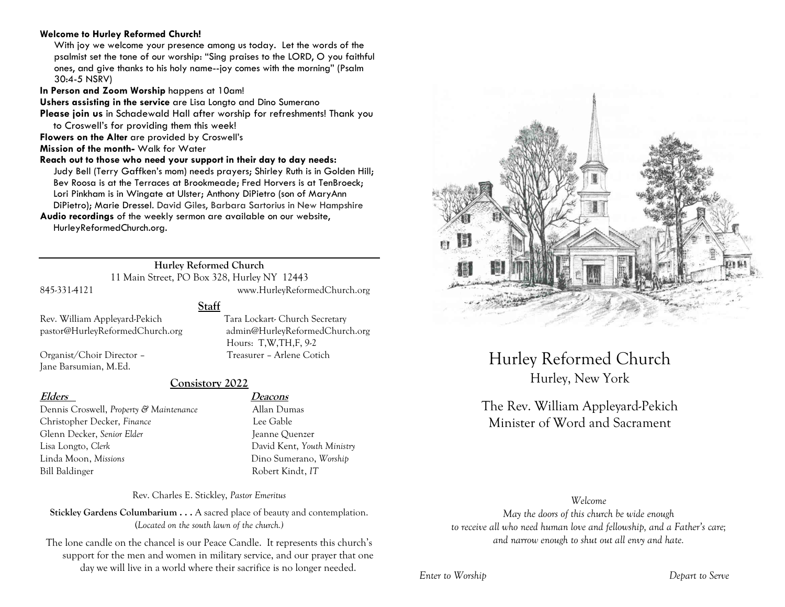## **Welcome to Hurley Reformed Church!**

With joy we welcome your presence among us today. Let the words of the psalmist set the tone of our worship: "Sing praises to the LORD, O you faithful ones, and give thanks to his holy name--joy comes with the morning" (Psalm 30:4-5 NSRV)

**In Person and Zoom Worship** happens at 10am!

**Ushers assisting in the service** are Lisa Longto and Dino Sumerano

**Please join us** in Schadewald Hall after worship for refreshments! Thank you to Croswell's for providing them this week!

**Flowers on the Alter** are provided by Croswell's

**Mission of the month-** Walk for Water

## **Reach out to those who need your support in their day to day needs:**

Judy Bell (Terry Gaffken's mom) needs prayers; Shirley Ruth is in Golden Hill; Bev Roosa is at the Terraces at Brookmeade; Fred Horvers is at TenBroeck; Lori Pinkham is in Wingate at Ulster; Anthony DiPietro (son of MaryAnn DiPietro); Marie Dressel. David Giles, Barbara Sartorius in New Hampshire

**Audio recordings** of the weekly sermon are available on our website, HurleyReformedChurch.org.

## **Hurley Reformed Church**

11 Main Street, PO Box 328, Hurley NY 12443 845-331-4121 www.HurleyReformedChurch.org

Hours: T,W,TH,F, 9-2

**Staff**

Rev. William Appleyard-Pekich Tara Lockart- Church Secretary pastor@HurleyReformedChurch.org admin@HurleyReformedChurch.org

Organist/Choir Director – Treasurer – Arlene Cotich Jane Barsumian, M.Ed.

## **Consistory 2022**

Dennis Croswell, *Property & Maintenance* Allan Dumas Christopher Decker, *Finance* Lee Gable Glenn Decker, *Senior Elder* Jeanne Ouenzer Lisa Longto, *Clerk* David Kent, *Youth Ministry* Linda Moon, *Missions* Dino Sumerano, *Worship* Bill Baldinger Robert Kindt, *IT*

## **Elders Deacons**

Rev. Charles E. Stickley, *Pastor Emeritus*

**Stickley Gardens Columbarium . . .** A sacred place of beauty and contemplation. (*Located on the south lawn of the church.)* 

The lone candle on the chancel is our Peace Candle. It represents this church's support for the men and women in military service, and our prayer that one day we will live in a world where their sacrifice is no longer needed.



Hurley Reformed Church Hurley, New York

# The Rev. William Appleyard-Pekich Minister of Word and Sacrament

## *Welcome*

*May the doors of this church be wide enough to receive all who need human love and fellowship, and a Father's care; and narrow enough to shut out all envy and hate.*

*Enter to Worship Depart to Serve*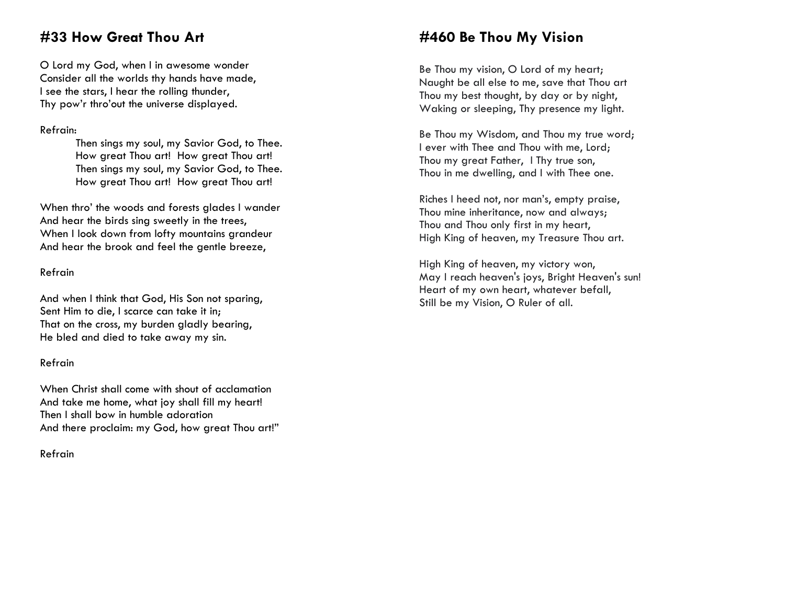# **#33 How Great Thou Art**

O Lord my God, when I in awesome wonder Consider all the worlds thy hands have made, I see the stars, I hear the rolling thunder, Thy pow'r thro'out the universe displayed.

Refrain:

Then sings my soul, my Savior God, to Thee. How great Thou art! How great Thou art! Then sings my soul, my Savior God, to Thee. How great Thou art! How great Thou art!

When thro' the woods and forests glades I wander And hear the birds sing sweetly in the trees, When I look down from lofty mountains grandeur And hear the brook and feel the gentle breeze,

## Refrain

And when I think that God, His Son not sparing, Sent Him to die, I scarce can take it in; That on the cross, my burden gladly bearing, He bled and died to take away my sin.

## Refrain

When Christ shall come with shout of acclamation And take me home, what joy shall fill my heart! Then I shall bow in humble adoration And there proclaim: my God, how great Thou art!"

## Refrain

# **#460 Be Thou My Vision**

Be Thou my vision, O Lord of my heart; Naught be all else to me, save that Thou art Thou my best thought, by day or by night, Waking or sleeping, Thy presence my light.

Be Thou my Wisdom, and Thou my true word; I ever with Thee and Thou with me, Lord; Thou my great Father, I Thy true son, Thou in me dwelling, and I with Thee one.

Riches I heed not, nor man's, empty praise, Thou mine inheritance, now and always; Thou and Thou only first in my heart, High King of heaven, my Treasure Thou art.

High King of heaven, my victory won, May I reach heaven's joys, Bright Heaven's sun! Heart of my own heart, whatever befall, Still be my Vision, O Ruler of all.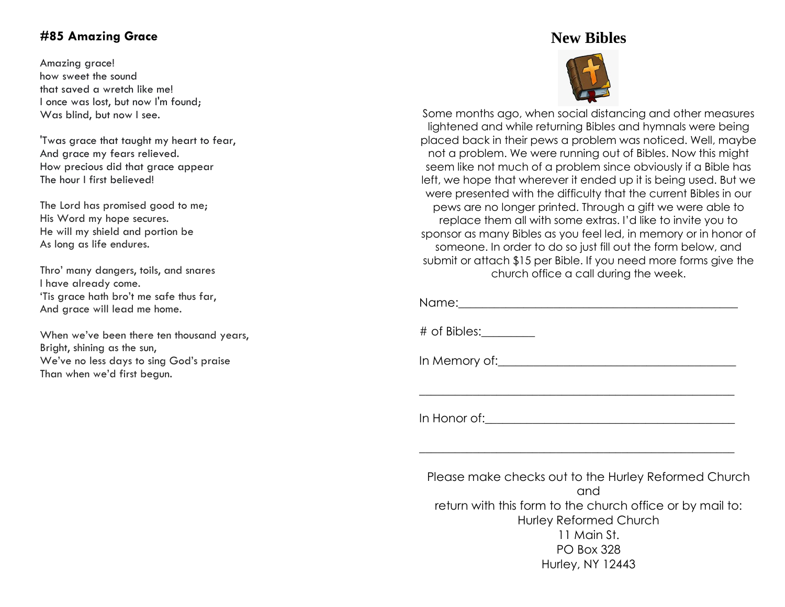# **#85 Amazing Grace**

Amazing grace! how sweet the sound that saved a wretch like me! I once was lost, but now I'm found; Was blind, but now I see.

'Twas grace that taught my heart to fear, And grace my fears relieved. How precious did that grace appear The hour I first believed!

The Lord has promised good to me; His Word my hope secures. He will my shield and portion be As long as life endures.

Thro' many dangers, toils, and snares I have already come. 'Tis grace hath bro't me safe thus far, And grace will lead me home.

When we've been there ten thousand years, Bright, shining as the sun, We've no less days to sing God's praise Than when we'd first begun.

# **New Bibles**



Some months ago, when social distancing and other measures lightened and while returning Bibles and hymnals were being placed back in their pews a problem was noticed. Well, maybe not a problem. We were running out of Bibles. Now this might seem like not much of a problem since obviously if a Bible has left, we hope that wherever it ended up it is being used. But we were presented with the difficulty that the current Bibles in our pews are no longer printed. Through a gift we were able to replace them all with some extras. I'd like to invite you to sponsor as many Bibles as you feel led, in memory or in honor of someone. In order to do so just fill out the form below, and submit or attach \$15 per Bible. If you need more forms give the church office a call during the week.

Name: where  $\frac{1}{2}$ 

# of Bibles:\_\_\_\_\_\_\_\_\_

In Memory of:

In Honor of:

\_\_\_\_\_\_\_\_\_\_\_\_\_\_\_\_\_\_\_\_\_\_\_\_\_\_\_\_\_\_\_\_\_\_\_\_\_\_\_\_\_\_\_\_\_\_\_\_\_\_\_\_\_

\_\_\_\_\_\_\_\_\_\_\_\_\_\_\_\_\_\_\_\_\_\_\_\_\_\_\_\_\_\_\_\_\_\_\_\_\_\_\_\_\_\_\_\_\_\_\_\_\_\_\_\_\_

Please make checks out to the Hurley Reformed Church and return with this form to the church office or by mail to: Hurley Reformed Church 11 Main St. PO Box 328 Hurley, NY 12443